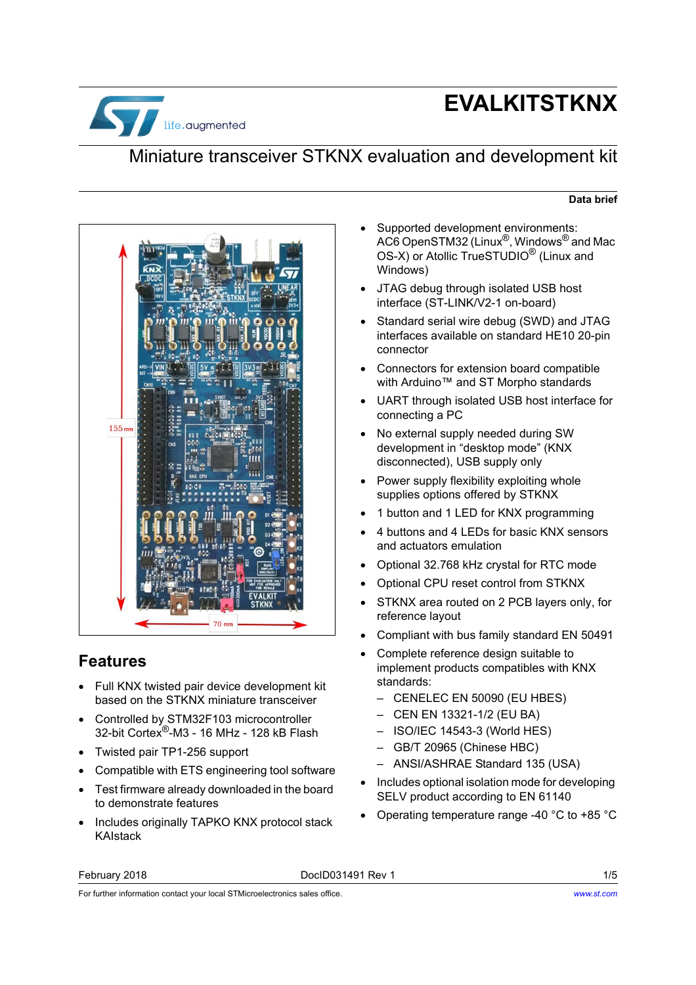

# **EVALKITSTKNX**

# Miniature transceiver STKNX evaluation and development kit

#### **Data brief**



### **Features**

- Full KNX twisted pair device development kit based on the STKNX miniature transceiver
- Controlled by STM32F103 microcontroller 32-bit Cortex®-M3 - 16 MHz - 128 kB Flash
- Twisted pair TP1-256 support
- Compatible with ETS engineering tool software
- Test firmware already downloaded in the board to demonstrate features
- Includes originally TAPKO KNX protocol stack KAIstack
- Supported development environments: AC6 OpenSTM32 (Linux $^{\circledR}$ , Windows $^{\circledR}$  and Mac OS-X) or Atollic TrueSTUDIO<sup>®</sup> (Linux and Windows)
- JTAG debug through isolated USB host interface (ST-LINK/V2-1 on-board)
- Standard serial wire debug (SWD) and JTAG interfaces available on standard HE10 20-pin connector
- Connectors for extension board compatible with Arduino™ and ST Morpho standards
- UART through isolated USB host interface for connecting a PC
- No external supply needed during SW development in "desktop mode" (KNX disconnected), USB supply only
- Power supply flexibility exploiting whole supplies options offered by STKNX
- 1 button and 1 LED for KNX programming
- 4 buttons and 4 LEDs for basic KNX sensors and actuators emulation
- Optional 32.768 kHz crystal for RTC mode
- Optional CPU reset control from STKNX
- STKNX area routed on 2 PCB layers only, for reference layout
- Compliant with bus family standard EN 50491
- Complete reference design suitable to implement products compatibles with KNX standards:
	- CENELEC EN 50090 (EU HBES)
	- CEN EN 13321-1/2 (EU BA)
	- ISO/IEC 14543-3 (World HES)
	- GB/T 20965 (Chinese HBC)
	- ANSI/ASHRAE Standard 135 (USA)
- Includes optional isolation mode for developing SELV product according to EN 61140
- Operating temperature range -40 °C to +85 °C

#### February 2018 DocID031491 Rev 1 1/5

For further information contact your local STMicroelectronics sales office.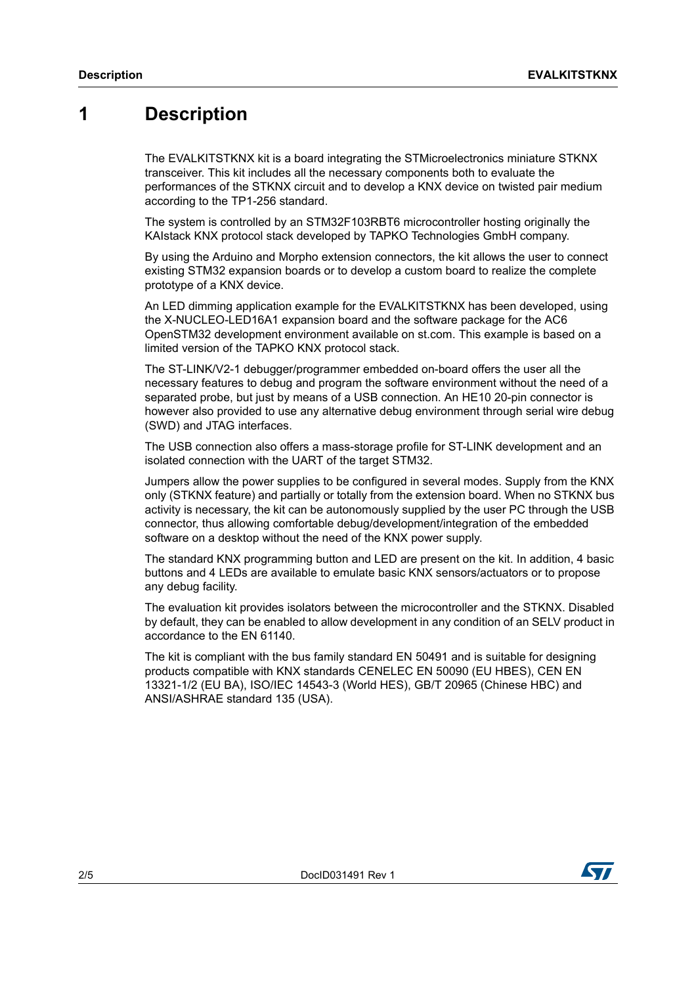## **1 Description**

The EVALKITSTKNX kit is a board integrating the STMicroelectronics miniature STKNX transceiver. This kit includes all the necessary components both to evaluate the performances of the STKNX circuit and to develop a KNX device on twisted pair medium according to the TP1-256 standard.

The system is controlled by an STM32F103RBT6 microcontroller hosting originally the KAIstack KNX protocol stack developed by TAPKO Technologies GmbH company.

By using the Arduino and Morpho extension connectors, the kit allows the user to connect existing STM32 expansion boards or to develop a custom board to realize the complete prototype of a KNX device.

An LED dimming application example for the EVALKITSTKNX has been developed, using the X-NUCLEO-LED16A1 expansion board and the software package for the AC6 OpenSTM32 development environment available on st.com. This example is based on a limited version of the TAPKO KNX protocol stack.

The ST-LINK/V2-1 debugger/programmer embedded on-board offers the user all the necessary features to debug and program the software environment without the need of a separated probe, but just by means of a USB connection. An HE10 20-pin connector is however also provided to use any alternative debug environment through serial wire debug (SWD) and JTAG interfaces.

The USB connection also offers a mass-storage profile for ST-LINK development and an isolated connection with the UART of the target STM32.

Jumpers allow the power supplies to be configured in several modes. Supply from the KNX only (STKNX feature) and partially or totally from the extension board. When no STKNX bus activity is necessary, the kit can be autonomously supplied by the user PC through the USB connector, thus allowing comfortable debug/development/integration of the embedded software on a desktop without the need of the KNX power supply.

The standard KNX programming button and LED are present on the kit. In addition, 4 basic buttons and 4 LEDs are available to emulate basic KNX sensors/actuators or to propose any debug facility.

The evaluation kit provides isolators between the microcontroller and the STKNX. Disabled by default, they can be enabled to allow development in any condition of an SELV product in accordance to the EN 61140.

The kit is compliant with the bus family standard EN 50491 and is suitable for designing products compatible with KNX standards CENELEC EN 50090 (EU HBES), CEN EN 13321-1/2 (EU BA), ISO/IEC 14543-3 (World HES), GB/T 20965 (Chinese HBC) and ANSI/ASHRAE standard 135 (USA).

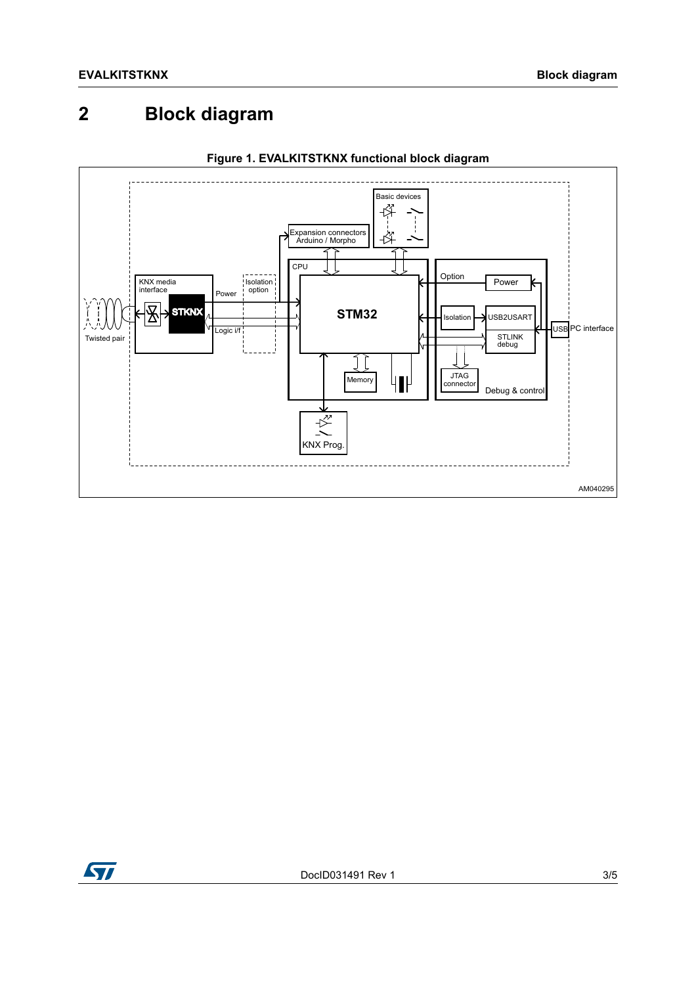#### **Block diagram**  $\overline{2}$





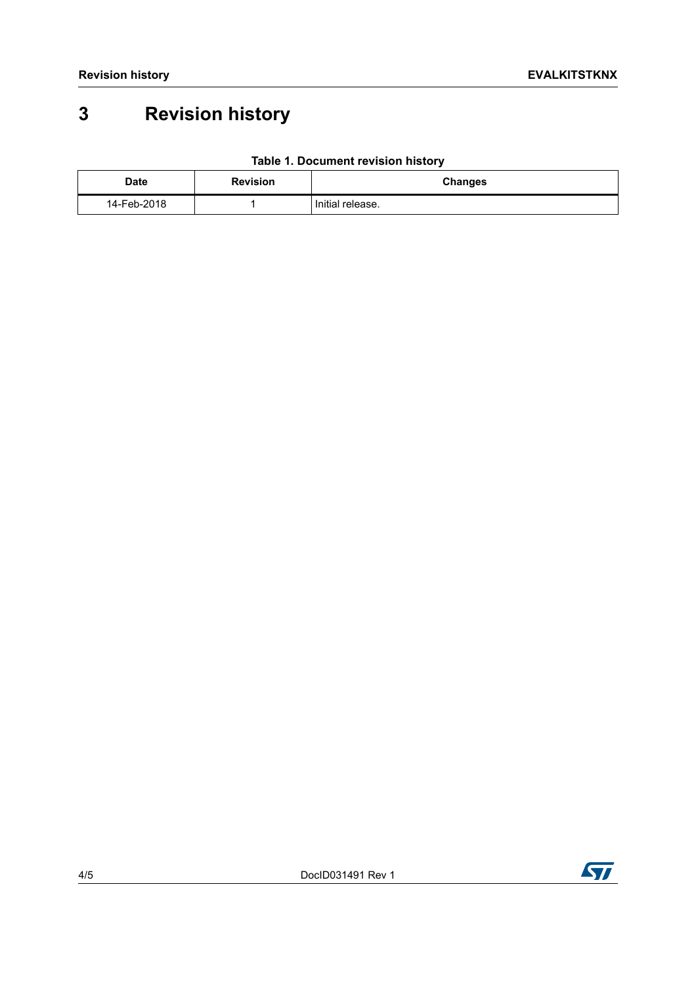# **3 Revision history**

| Date        | <b>Revision</b> | <b>Changes</b>   |
|-------------|-----------------|------------------|
| 14-Feb-2018 |                 | Initial release. |

### **Table 1. Document revision history**